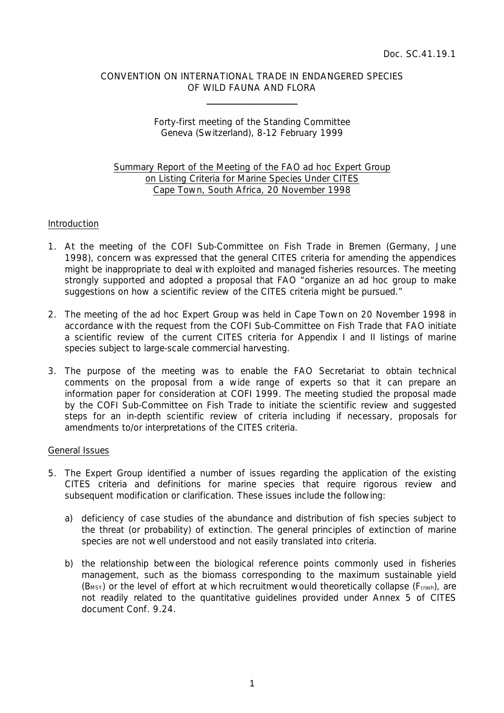# CONVENTION ON INTERNATIONAL TRADE IN ENDANGERED SPECIES OF WILD FAUNA AND FLORA

\_\_\_\_\_\_\_\_\_\_\_\_\_\_\_\_\_\_\_\_

# Forty-first meeting of the Standing Committee Geneva (Switzerland), 8-12 February 1999

# Summary Report of the Meeting of the FAO *ad hoc* Expert Group on Listing Criteria for Marine Species Under CITES Cape Town, South Africa, 20 November 1998

### Introduction

- 1. At the meeting of the COFI Sub-Committee on Fish Trade in Bremen (Germany, June 1998), concern was expressed that the general CITES criteria for amending the appendices might be inappropriate to deal with exploited and managed fisheries resources. The meeting strongly supported and adopted a proposal that FAO "*organize an ad hoc group to make suggestions on how a scientific review of the CITES criteria might be pursued.*"
- 2. The meeting of the *ad hoc* Expert Group was held in Cape Town on 20 November 1998 in accordance with the request from the COFI Sub-Committee on Fish Trade that FAO initiate a scientific review of the current CITES criteria for Appendix I and II listings of marine species subject to large-scale commercial harvesting.
- 3. The purpose of the meeting was to enable the FAO Secretariat to obtain technical comments on the proposal from a wide range of experts so that it can prepare an information paper for consideration at COFI 1999. The meeting studied the proposal made by the COFI Sub-Committee on Fish Trade to initiate the scientific review and suggested steps for an in-depth scientific review of criteria including if necessary, proposals for amendments to/or interpretations of the CITES criteria.

### General Issues

- 5. The Expert Group identified a number of issues regarding the application of the existing CITES criteria and definitions for marine species that require rigorous review and subsequent modification or clarification. These issues include the following:
	- a) deficiency of case studies of the abundance and distribution of fish species subject to the threat (or probability) of extinction. The general principles of extinction of marine species are not well understood and not easily translated into criteria.
	- b) the relationship between the biological reference points commonly used in fisheries management, such as the biomass corresponding to the maximum sustainable yield (B<sub>MSY</sub>) or the level of effort at which recruitment would theoretically collapse ( $F_{crash}$ ), are not readily related to the quantitative guidelines provided under Annex 5 of CITES document Conf. 9.24.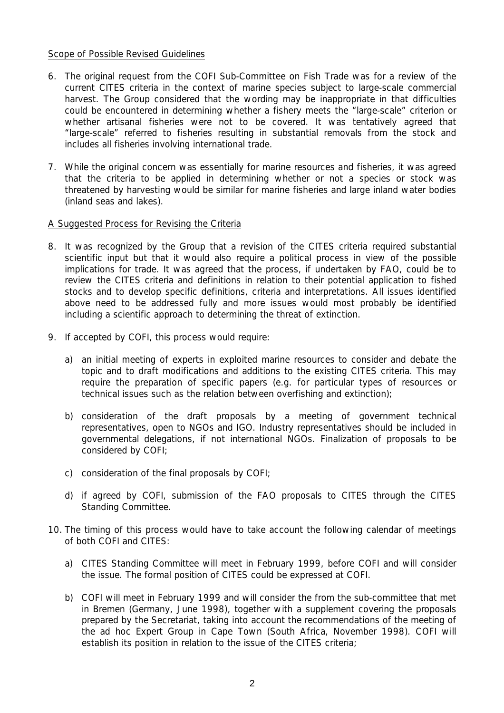### Scope of Possible Revised Guidelines

- 6. The original request from the COFI Sub-Committee on Fish Trade was for a review of the current CITES criteria in the context of marine species subject to large-scale commercial harvest. The Group considered that the wording may be inappropriate in that difficulties could be encountered in determining whether a fishery meets the "large-scale" criterion or whether artisanal fisheries were not to be covered. It was tentatively agreed that "large-scale" referred to fisheries resulting in substantial removals from the stock and includes all fisheries involving international trade.
- 7. While the original concern was essentially for marine resources and fisheries, it was agreed that the criteria to be applied in determining whether or not a species or stock was threatened by harvesting would be similar for marine fisheries and large inland water bodies (inland seas and lakes).

#### A Suggested Process for Revising the Criteria

- 8. It was recognized by the Group that a revision of the CITES criteria required substantial scientific input but that it would also require a political process in view of the possible implications for trade. It was agreed that the process, if undertaken by FAO, could be to review the CITES criteria and definitions in relation to their potential application to fished stocks and to develop specific definitions, criteria and interpretations. All issues identified above need to be addressed fully and more issues would most probably be identified including a scientific approach to determining the threat of extinction.
- 9. If accepted by COFI, this process would require:
	- a) an initial meeting of experts in exploited marine resources to consider and debate the topic and to draft modifications and additions to the existing CITES criteria. This may require the preparation of specific papers (e.g. for particular types of resources or technical issues such as the relation between overfishing and extinction);
	- b) consideration of the draft proposals by a meeting of government technical representatives, open to NGOs and IGO. Industry representatives should be included in governmental delegations, if not international NGOs. Finalization of proposals to be considered by COFI;
	- c) consideration of the final proposals by COFI;
	- d) if agreed by COFI, submission of the FAO proposals to CITES through the CITES Standing Committee.
- 10. The timing of this process would have to take account the following calendar of meetings of both COFI and CITES:
	- a) CITES Standing Committee will meet in February 1999, before COFI and will consider the issue. The formal position of CITES could be expressed at COFI.
	- b) COFI will meet in February 1999 and will consider the from the sub-committee that met in Bremen (Germany, June 1998), together with a supplement covering the proposals prepared by the Secretariat, taking into account the recommendations of the meeting of the *ad hoc* Expert Group in Cape Town (South Africa, November 1998). COFI will establish its position in relation to the issue of the CITES criteria;